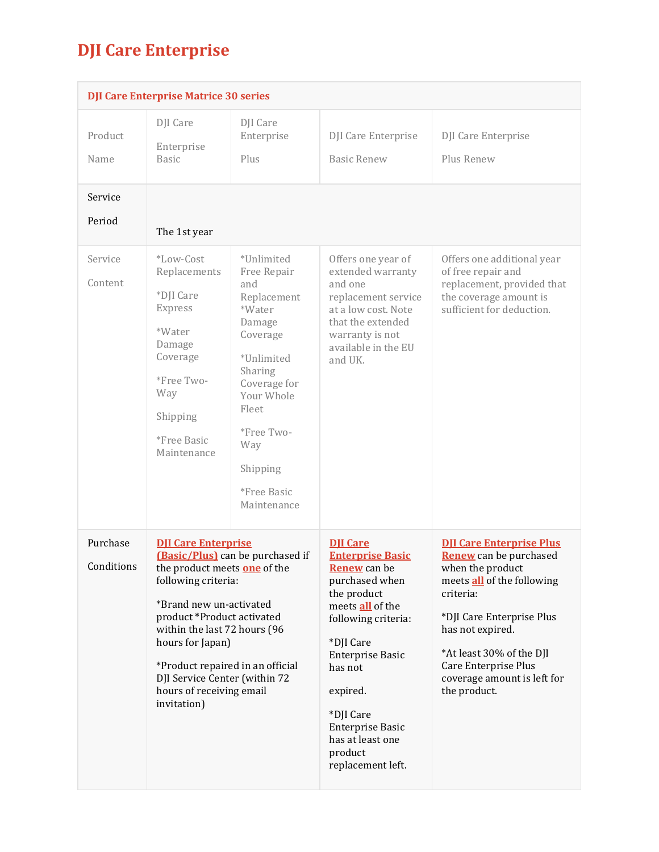## **DJI Care Enterprise**

|                        | <b>DJI Care Enterprise Matrice 30 series</b>                                                                                                                                                                                                                                                                                                                     |                                                                                                                                                                                                                |                                                                                                                                                                                                                                                                                                                 |                                                                                                                                                                                                                                                                                            |  |
|------------------------|------------------------------------------------------------------------------------------------------------------------------------------------------------------------------------------------------------------------------------------------------------------------------------------------------------------------------------------------------------------|----------------------------------------------------------------------------------------------------------------------------------------------------------------------------------------------------------------|-----------------------------------------------------------------------------------------------------------------------------------------------------------------------------------------------------------------------------------------------------------------------------------------------------------------|--------------------------------------------------------------------------------------------------------------------------------------------------------------------------------------------------------------------------------------------------------------------------------------------|--|
| Product<br>Name        | DJI Care<br>Enterprise<br><b>Basic</b>                                                                                                                                                                                                                                                                                                                           | DJI Care<br>Enterprise<br>Plus                                                                                                                                                                                 | <b>DJI</b> Care Enterprise<br><b>Basic Renew</b>                                                                                                                                                                                                                                                                | <b>DJI</b> Care Enterprise<br>Plus Renew                                                                                                                                                                                                                                                   |  |
| Service<br>Period      | The 1st year                                                                                                                                                                                                                                                                                                                                                     |                                                                                                                                                                                                                |                                                                                                                                                                                                                                                                                                                 |                                                                                                                                                                                                                                                                                            |  |
| Service<br>Content     | *Low-Cost<br>Replacements<br>*DJI Care<br>Express<br>*Water<br>Damage<br>Coverage<br>*Free Two-<br>Way<br>Shipping<br>*Free Basic<br>Maintenance                                                                                                                                                                                                                 | *Unlimited<br>Free Repair<br>and<br>Replacement<br>*Water<br>Damage<br>Coverage<br>*Unlimited<br>Sharing<br>Coverage for<br>Your Whole<br>Fleet<br>*Free Two-<br>Way<br>Shipping<br>*Free Basic<br>Maintenance | Offers one year of<br>extended warranty<br>and one<br>replacement service<br>at a low cost. Note<br>that the extended<br>warranty is not<br>available in the EU<br>and UK.                                                                                                                                      | Offers one additional year<br>of free repair and<br>replacement, provided that<br>the coverage amount is<br>sufficient for deduction.                                                                                                                                                      |  |
| Purchase<br>Conditions | <b>DII Care Enterprise</b><br><b>(Basic/Plus)</b> can be purchased if<br>the product meets <b>one</b> of the<br>following criteria:<br>*Brand new un-activated<br>product *Product activated<br>within the last 72 hours (96<br>hours for Japan)<br>*Product repaired in an official<br>DJI Service Center (within 72<br>hours of receiving email<br>invitation) |                                                                                                                                                                                                                | <b>DII Care</b><br><b>Enterprise Basic</b><br><b>Renew</b> can be<br>purchased when<br>the product<br>meets <b>all</b> of the<br>following criteria:<br>*DJI Care<br><b>Enterprise Basic</b><br>has not<br>expired.<br>*DJI Care<br><b>Enterprise Basic</b><br>has at least one<br>product<br>replacement left. | <b>DJI Care Enterprise Plus</b><br><b>Renew</b> can be purchased<br>when the product<br>meets <b>all</b> of the following<br>criteria:<br>*DJI Care Enterprise Plus<br>has not expired.<br>*At least 30% of the DJI<br>Care Enterprise Plus<br>coverage amount is left for<br>the product. |  |